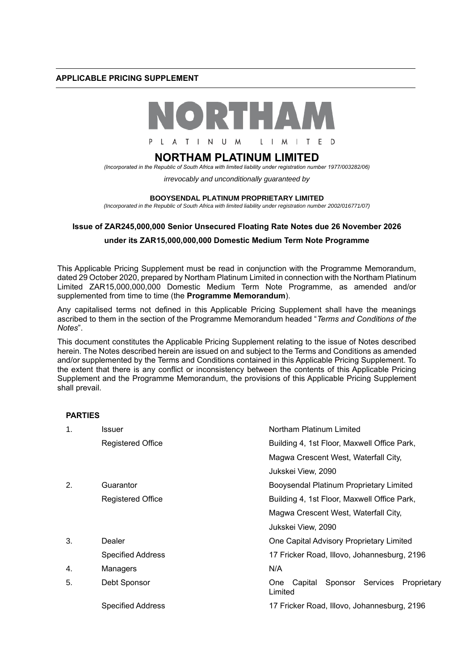### **APPLICABLE PRICING SUPPLEMENT**



# **NORTHAM PLATINUM LIMITED**

*(Incorporated in the Republic of South Africa with limited liability under registration number 1977/003282/06)*

*irrevocably and unconditionally guaranteed by* 

#### **BOOYSENDAL PLATINUM PROPRIETARY LIMITED**

*(Incorporated in the Republic of South Africa with limited liability under registration number 2002/016771/07)*

#### **Issue of ZAR245,000,000 Senior Unsecured Floating Rate Notes due 26 November 2026**

## **under its ZAR15,000,000,000 Domestic Medium Term Note Programme**

This Applicable Pricing Supplement must be read in conjunction with the Programme Memorandum, dated 29 October 2020, prepared by Northam Platinum Limited in connection with the Northam Platinum Limited ZAR15,000,000,000 Domestic Medium Term Note Programme, as amended and/or supplemented from time to time (the **Programme Memorandum**).

Any capitalised terms not defined in this Applicable Pricing Supplement shall have the meanings ascribed to them in the section of the Programme Memorandum headed "*Terms and Conditions of the Notes*".

This document constitutes the Applicable Pricing Supplement relating to the issue of Notes described herein. The Notes described herein are issued on and subject to the Terms and Conditions as amended and/or supplemented by the Terms and Conditions contained in this Applicable Pricing Supplement. To the extent that there is any conflict or inconsistency between the contents of this Applicable Pricing Supplement and the Programme Memorandum, the provisions of this Applicable Pricing Supplement shall prevail.

### **PARTIES**

| $\mathbf 1$ . | Issuer                   | Northam Platinum Limited                                     |
|---------------|--------------------------|--------------------------------------------------------------|
|               | <b>Registered Office</b> | Building 4, 1st Floor, Maxwell Office Park,                  |
|               |                          | Magwa Crescent West, Waterfall City,                         |
|               |                          | Jukskei View, 2090                                           |
| 2.            | Guarantor                | Booysendal Platinum Proprietary Limited                      |
|               | <b>Registered Office</b> | Building 4, 1st Floor, Maxwell Office Park,                  |
|               |                          | Magwa Crescent West, Waterfall City,                         |
|               |                          | Jukskei View, 2090                                           |
| 3.            | Dealer                   | One Capital Advisory Proprietary Limited                     |
|               | <b>Specified Address</b> | 17 Fricker Road, Illovo, Johannesburg, 2196                  |
| 4.            | Managers                 | N/A                                                          |
| 5.            | Debt Sponsor             | Sponsor Services<br>Proprietary<br>Capital<br>One<br>Limited |
|               | Specified Address        | 17 Fricker Road, Illovo, Johannesburg, 2196                  |
|               |                          |                                                              |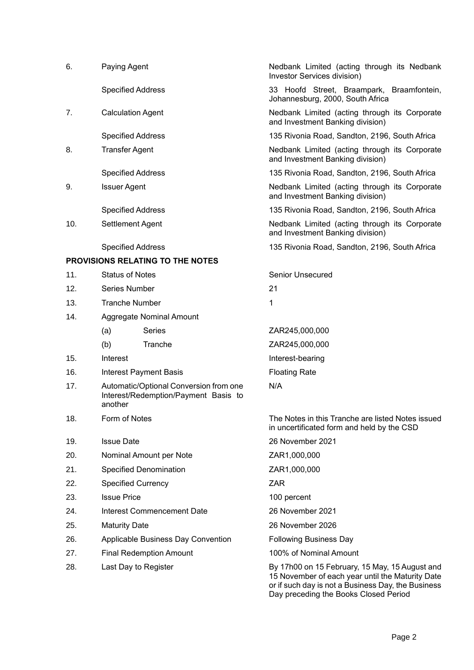| 6.  | Paying Agent                                                                              |                                  | Nedbank Limited (acting through its Nedbank<br>Investor Services division)                                                                               |
|-----|-------------------------------------------------------------------------------------------|----------------------------------|----------------------------------------------------------------------------------------------------------------------------------------------------------|
|     | <b>Specified Address</b>                                                                  |                                  | 33 Hoofd Street, Braampark, Braamfontein,<br>Johannesburg, 2000, South Africa                                                                            |
| 7.  | <b>Calculation Agent</b>                                                                  |                                  | Nedbank Limited (acting through its Corporate<br>and Investment Banking division)                                                                        |
|     | <b>Specified Address</b>                                                                  |                                  | 135 Rivonia Road, Sandton, 2196, South Africa                                                                                                            |
| 8.  | <b>Transfer Agent</b>                                                                     |                                  | Nedbank Limited (acting through its Corporate<br>and Investment Banking division)                                                                        |
|     | <b>Specified Address</b>                                                                  |                                  | 135 Rivonia Road, Sandton, 2196, South Africa                                                                                                            |
| 9.  | <b>Issuer Agent</b>                                                                       |                                  | Nedbank Limited (acting through its Corporate<br>and Investment Banking division)                                                                        |
|     | <b>Specified Address</b>                                                                  |                                  | 135 Rivonia Road, Sandton, 2196, South Africa                                                                                                            |
| 10. | Settlement Agent                                                                          |                                  | Nedbank Limited (acting through its Corporate<br>and Investment Banking division)                                                                        |
|     | <b>Specified Address</b>                                                                  |                                  | 135 Rivonia Road, Sandton, 2196, South Africa                                                                                                            |
|     |                                                                                           | PROVISIONS RELATING TO THE NOTES |                                                                                                                                                          |
| 11. | <b>Status of Notes</b>                                                                    |                                  | Senior Unsecured                                                                                                                                         |
| 12. | <b>Series Number</b>                                                                      |                                  | 21                                                                                                                                                       |
| 13. | <b>Tranche Number</b>                                                                     |                                  | 1                                                                                                                                                        |
| 14. |                                                                                           | Aggregate Nominal Amount         |                                                                                                                                                          |
|     | (a)                                                                                       | Series                           | ZAR245,000,000                                                                                                                                           |
|     | (b)                                                                                       | Tranche                          | ZAR245,000,000                                                                                                                                           |
| 15. | Interest                                                                                  |                                  | Interest-bearing                                                                                                                                         |
| 16. |                                                                                           | <b>Interest Payment Basis</b>    | <b>Floating Rate</b>                                                                                                                                     |
| 17. | Automatic/Optional Conversion from one<br>Interest/Redemption/Payment Basis to<br>another |                                  | N/A                                                                                                                                                      |
| 18. | Form of Notes                                                                             |                                  | The Notes in this Tranche are listed Notes issued<br>in uncertificated form and held by the CSD                                                          |
| 19. | <b>Issue Date</b>                                                                         |                                  | 26 November 2021                                                                                                                                         |
| 20. |                                                                                           | Nominal Amount per Note          | ZAR1,000,000                                                                                                                                             |
| 21. | Specified Denomination                                                                    |                                  | ZAR1,000,000                                                                                                                                             |
| 22. | <b>Specified Currency</b>                                                                 |                                  | ZAR                                                                                                                                                      |
| 23. | <b>Issue Price</b>                                                                        |                                  | 100 percent                                                                                                                                              |
| 24. | <b>Interest Commencement Date</b>                                                         |                                  | 26 November 2021                                                                                                                                         |
| 25. | <b>Maturity Date</b>                                                                      |                                  | 26 November 2026                                                                                                                                         |
| 26. | Applicable Business Day Convention                                                        |                                  | <b>Following Business Day</b>                                                                                                                            |
| 27. | <b>Final Redemption Amount</b>                                                            |                                  | 100% of Nominal Amount                                                                                                                                   |
| 28. | Last Day to Register                                                                      |                                  | By 17h00 on 15 February, 15 May, 15 August and<br>15 November of each year until the Maturity Date<br>or if such day is not a Business Day, the Business |

Day preceding the Books Closed Period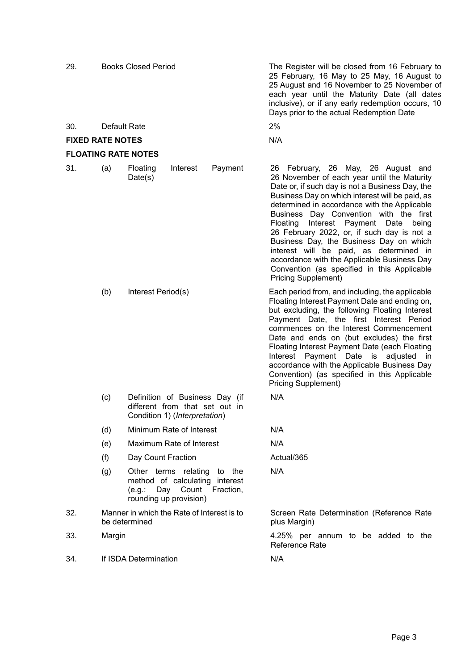| 29.                        |                                                             | <b>Books Closed Period</b>                                                                                                  | The Register will be closed from 16 February to<br>25 February, 16 May to 25 May, 16 August to<br>25 August and 16 November to 25 November of<br>each year until the Maturity Date (all dates<br>inclusive), or if any early redemption occurs, 10<br>Days prior to the actual Redemption Date                                                                                                                                                                                                                                                                                                  |
|----------------------------|-------------------------------------------------------------|-----------------------------------------------------------------------------------------------------------------------------|-------------------------------------------------------------------------------------------------------------------------------------------------------------------------------------------------------------------------------------------------------------------------------------------------------------------------------------------------------------------------------------------------------------------------------------------------------------------------------------------------------------------------------------------------------------------------------------------------|
| 30.                        | Default Rate                                                |                                                                                                                             | 2%                                                                                                                                                                                                                                                                                                                                                                                                                                                                                                                                                                                              |
| <b>FIXED RATE NOTES</b>    |                                                             |                                                                                                                             | N/A                                                                                                                                                                                                                                                                                                                                                                                                                                                                                                                                                                                             |
| <b>FLOATING RATE NOTES</b> |                                                             |                                                                                                                             |                                                                                                                                                                                                                                                                                                                                                                                                                                                                                                                                                                                                 |
| 31.                        | (a)                                                         | Interest<br>Payment<br>Floating<br>Date(s)                                                                                  | 26 February, 26 May, 26 August and<br>26 November of each year until the Maturity<br>Date or, if such day is not a Business Day, the<br>Business Day on which interest will be paid, as<br>determined in accordance with the Applicable<br>Business Day Convention with the first<br>Interest Payment Date<br>Floating<br>being<br>26 February 2022, or, if such day is not a<br>Business Day, the Business Day on which<br>interest will be paid, as determined in<br>accordance with the Applicable Business Day<br>Convention (as specified in this Applicable<br><b>Pricing Supplement)</b> |
|                            | (b)                                                         | Interest Period(s)                                                                                                          | Each period from, and including, the applicable<br>Floating Interest Payment Date and ending on,<br>but excluding, the following Floating Interest<br>Payment Date, the first Interest Period<br>commences on the Interest Commencement<br>Date and ends on (but excludes) the first<br>Floating Interest Payment Date (each Floating<br>Interest Payment Date is adjusted<br>in.<br>accordance with the Applicable Business Day<br>Convention) (as specified in this Applicable<br><b>Pricing Supplement)</b>                                                                                  |
|                            | (c)                                                         | Definition of Business Day (if<br>different from that set out in<br>Condition 1) (Interpretation)                           | N/A                                                                                                                                                                                                                                                                                                                                                                                                                                                                                                                                                                                             |
|                            | (d)                                                         | Minimum Rate of Interest                                                                                                    | N/A                                                                                                                                                                                                                                                                                                                                                                                                                                                                                                                                                                                             |
|                            | (e)                                                         | Maximum Rate of Interest                                                                                                    | N/A                                                                                                                                                                                                                                                                                                                                                                                                                                                                                                                                                                                             |
|                            | (f)                                                         | Day Count Fraction                                                                                                          | Actual/365                                                                                                                                                                                                                                                                                                                                                                                                                                                                                                                                                                                      |
|                            | (g)                                                         | Other terms relating<br>to the<br>method of calculating interest<br>(e.g.: Day Count<br>Fraction,<br>rounding up provision) | N/A                                                                                                                                                                                                                                                                                                                                                                                                                                                                                                                                                                                             |
| 32.                        | Manner in which the Rate of Interest is to<br>be determined |                                                                                                                             | Screen Rate Determination (Reference Rate<br>plus Margin)                                                                                                                                                                                                                                                                                                                                                                                                                                                                                                                                       |
| 33.                        | Margin                                                      |                                                                                                                             | 4.25% per annum to be added to the<br>Reference Rate                                                                                                                                                                                                                                                                                                                                                                                                                                                                                                                                            |
| 34.                        | If ISDA Determination                                       |                                                                                                                             | N/A                                                                                                                                                                                                                                                                                                                                                                                                                                                                                                                                                                                             |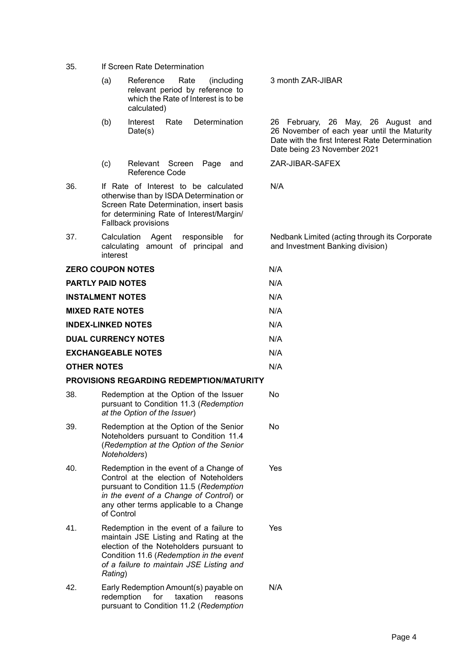- 35. If Screen Rate Determination
	- (a) Reference Rate (including relevant period by reference to which the Rate of Interest is to be calculated)
	- (b) Interest Rate Determination Date(s)
	- (c) Relevant Screen Page and Reference Code
- 36. If Rate of Interest to be calculated otherwise than by ISDA Determination or Screen Rate Determination, insert basis for determining Rate of Interest/Margin/ Fallback provisions
- 37. Calculation Agent responsible for calculating amount of principal and interest

3 month ZAR-JIBAR

26 February, 26 May, 26 August and 26 November of each year until the Maturity Date with the first Interest Rate Determination Date being 23 November 2021

ZAR-JIBAR-SAFEX

N/A

No

Yes

Yes

N/A

Nedbank Limited (acting through its Corporate and Investment Banking division)

- **ZERO COUPON NOTES** N/A **PARTLY PAID NOTES** N/A **INSTALMENT NOTES** N/A **MIXED RATE NOTES** N/A **INDEX-LINKED NOTES** N/A **DUAL CURRENCY NOTES** N/A **EXCHANGEABLE NOTES** N/A **OTHER NOTES** N/A **PROVISIONS REGARDING REDEMPTION/MATURITY**
- 38. Redemption at the Option of the Issuer pursuant to Condition 11.3 (*Redemption at the Option of the Issuer*) No
- 39. Redemption at the Option of the Senior Noteholders pursuant to Condition 11.4 (*Redemption at the Option of the Senior Noteholders*)
- 40. Redemption in the event of a Change of Control at the election of Noteholders pursuant to Condition 11.5 (*Redemption in the event of a Change of Control*) or any other terms applicable to a Change of Control
- 41. Redemption in the event of a failure to maintain JSE Listing and Rating at the election of the Noteholders pursuant to Condition 11.6 (*Redemption in the event of a failure to maintain JSE Listing and Rating*)
- 42. Early Redemption Amount(s) payable on redemption for taxation reasons pursuant to Condition 11.2 (*Redemption*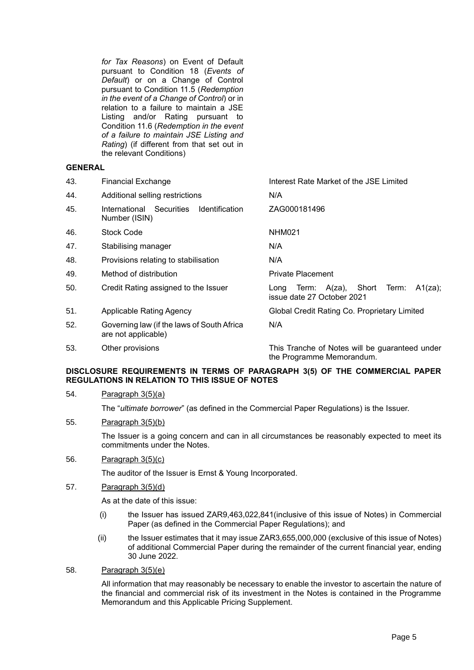*for Tax Reasons*) on Event of Default pursuant to Condition 18 (*Events of Default*) or on a Change of Control pursuant to Condition 11.5 (*Redemption in the event of a Change of Control*) or in relation to a failure to maintain a JSE Listing and/or Rating pursuant to Condition 11.6 (*Redemption in the event of a failure to maintain JSE Listing and Rating*) (if different from that set out in the relevant Conditions)

## **GENERAL**

| 43. | Financial Exchange                                                 | Interest Rate Market of the JSE Limited                                      |
|-----|--------------------------------------------------------------------|------------------------------------------------------------------------------|
| 44. | Additional selling restrictions                                    | N/A                                                                          |
| 45. | International Securities<br><b>Identification</b><br>Number (ISIN) | ZAG000181496                                                                 |
| 46. | Stock Code                                                         | <b>NHM021</b>                                                                |
| 47. | Stabilising manager                                                | N/A                                                                          |
| 48. | Provisions relating to stabilisation                               | N/A                                                                          |
| 49. | Method of distribution                                             | <b>Private Placement</b>                                                     |
| 50. | Credit Rating assigned to the Issuer                               | Term: A(za), Short<br>Term:<br>A1(za);<br>Long<br>issue date 27 October 2021 |
| 51. | Applicable Rating Agency                                           | Global Credit Rating Co. Proprietary Limited                                 |
| 52. | Governing law (if the laws of South Africa<br>are not applicable)  | N/A                                                                          |
| 53. | Other provisions                                                   | This Tranche of Notes will be guaranteed under<br>the Programme Memorandum.  |

# **DISCLOSURE REQUIREMENTS IN TERMS OF PARAGRAPH 3(5) OF THE COMMERCIAL PAPER REGULATIONS IN RELATION TO THIS ISSUE OF NOTES**

# 54. Paragraph 3(5)(a)

The "*ultimate borrower*" (as defined in the Commercial Paper Regulations) is the Issuer.

# 55. Paragraph 3(5)(b)

The Issuer is a going concern and can in all circumstances be reasonably expected to meet its commitments under the Notes.

# 56. Paragraph 3(5)(c)

The auditor of the Issuer is Ernst & Young Incorporated.

# 57. Paragraph 3(5)(d)

As at the date of this issue:

- (i) the Issuer has issued ZAR9,463,022,841(inclusive of this issue of Notes) in Commercial Paper (as defined in the Commercial Paper Regulations); and
- (ii) the Issuer estimates that it may issue ZAR3,655,000,000 (exclusive of this issue of Notes) of additional Commercial Paper during the remainder of the current financial year, ending 30 June 2022.
- 58. Paragraph 3(5)(e)

All information that may reasonably be necessary to enable the investor to ascertain the nature of the financial and commercial risk of its investment in the Notes is contained in the Programme Memorandum and this Applicable Pricing Supplement.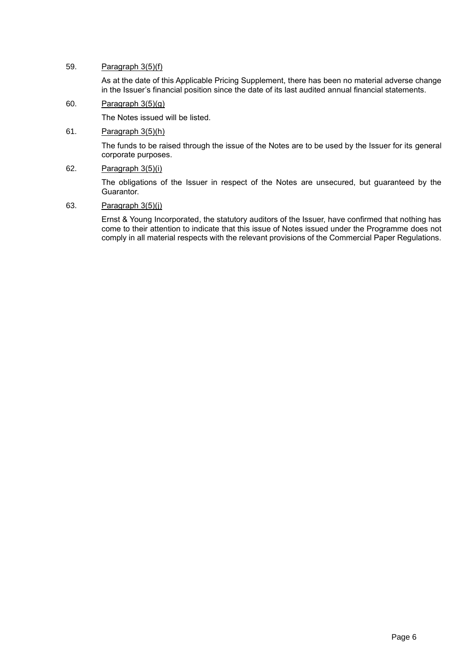# 59. Paragraph 3(5)(f)

As at the date of this Applicable Pricing Supplement, there has been no material adverse change in the Issuer's financial position since the date of its last audited annual financial statements.

60. Paragraph 3(5)(g)

The Notes issued will be listed.

61. Paragraph 3(5)(h)

The funds to be raised through the issue of the Notes are to be used by the Issuer for its general corporate purposes.

62. Paragraph 3(5)(i)

The obligations of the Issuer in respect of the Notes are unsecured, but guaranteed by the Guarantor.

63. Paragraph 3(5)(j)

Ernst & Young Incorporated, the statutory auditors of the Issuer, have confirmed that nothing has come to their attention to indicate that this issue of Notes issued under the Programme does not comply in all material respects with the relevant provisions of the Commercial Paper Regulations.